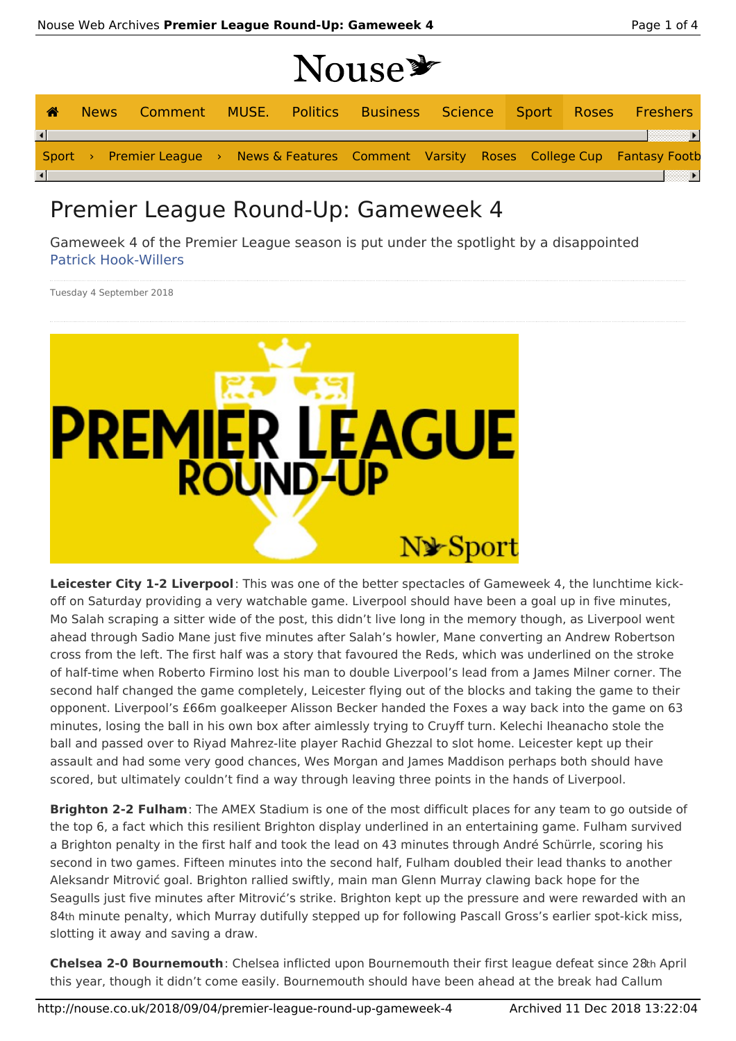## Nouse \*

| ക |  |  |  |  |  | News Comment MUSE. Politics Business Science Sport Roses Freshers                        |
|---|--|--|--|--|--|------------------------------------------------------------------------------------------|
|   |  |  |  |  |  |                                                                                          |
|   |  |  |  |  |  | Sport > Premier League > News & Features Comment Varsity Roses College Cup Fantasy Footb |
|   |  |  |  |  |  |                                                                                          |

## Premier League Round-Up: Gameweek 4

Gameweek 4 of the Premier League season is put under the spotlight by a disappointed Patrick Hook-Willers

Tuesday 4 September 2018



**Leicester City 1-2 Liverpool**: This was one of the better spectacles of Gameweek 4, the lunchtime kickoff on Saturday providing a very watchable game. Liverpool should have been a goal up in five minutes, Mo Salah scraping a sitter wide of the post, this didn't live long in the memory though, as Liverpool went ahead through Sadio Mane just five minutes after Salah's howler, Mane converting an Andrew Robertson cross from the left. The first half was a story that favoured the Reds, which was underlined on the stroke of half-time when Roberto Firmino lost his man to double Liverpool's lead from a James Milner corner. The second half changed the game completely, Leicester flying out of the blocks and taking the game to their opponent. Liverpool's £66m goalkeeper Alisson Becker handed the Foxes a way back into the game on 63 minutes, losing the ball in his own box after aimlessly trying to Cruyff turn. Kelechi Iheanacho stole the ball and passed over to Riyad Mahrez-lite player Rachid Ghezzal to slot home. Leicester kept up their assault and had some very good chances, Wes Morgan and James Maddison perhaps both should have scored, but ultimately couldn't find a way through leaving three points in the hands of Liverpool.

**Brighton 2-2 Fulham**: The AMEX Stadium is one of the most difficult places for any team to go outside of the top 6, a fact which this resilient Brighton display underlined in an entertaining game. Fulham survived a Brighton penalty in the first half and took the lead on 43 minutes through André Schürrle, scoring his second in two games. Fifteen minutes into the second half, Fulham doubled their lead thanks to another Aleksandr Mitrović goal. Brighton rallied swiftly, main man Glenn Murray clawing back hope for the Seagulls just five minutes after Mitrović's strike. Brighton kept up the pressure and were rewarded with an 84th minute penalty, which Murray dutifully stepped up for following Pascall Gross's earlier spot-kick miss, slotting it away and saving a draw.

**Chelsea 2-0 Bournemouth**: Chelsea inflicted upon Bournemouth their first league defeat since 28th April this year, though it didn't come easily. Bournemouth should have been ahead at the break had Callum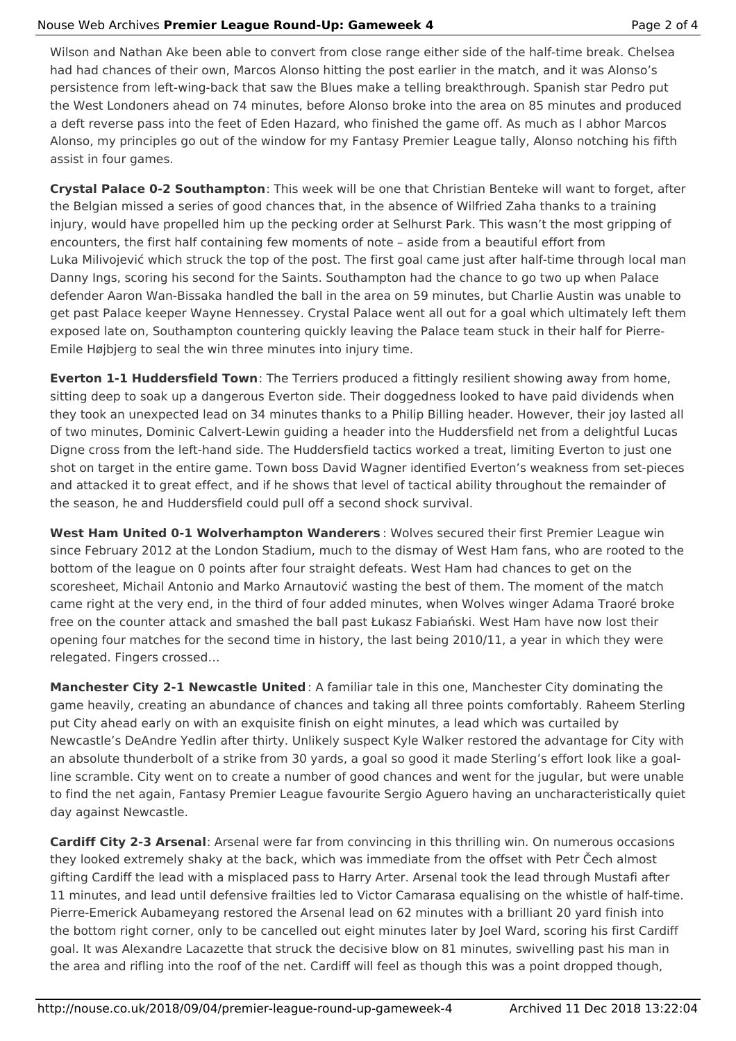## Nouse Web Archives **Premier League Round-Up: Gameweek 4** Page 2 of 4

Wilson and Nathan Ake been able to convert from close range either side of the half-time break. Chelsea had had chances of their own, Marcos Alonso hitting the post earlier in the match, and it was Alonso's persistence from left-wing-back that saw the Blues make a telling breakthrough. Spanish star Pedro put the West Londoners ahead on 74 minutes, before Alonso broke into the area on 85 minutes and produced a deft reverse pass into the feet of Eden Hazard, who finished the game off. As much as I abhor Marcos Alonso, my principles go out of the window for my Fantasy Premier League tally, Alonso notching his fifth assist in four games.

**Crystal Palace 0-2 Southampton**: This week will be one that Christian Benteke will want to forget, after the Belgian missed a series of good chances that, in the absence of Wilfried Zaha thanks to a training injury, would have propelled him up the pecking order at Selhurst Park. This wasn't the most gripping of encounters, the first half containing few moments of note – aside from a beautiful effort from Luka Milivojević which struck the top of the post. The first goal came just after half-time through local man Danny Ings, scoring his second for the Saints. Southampton had the chance to go two up when Palace defender Aaron Wan-Bissaka handled the ball in the area on 59 minutes, but Charlie Austin was unable to get past Palace keeper Wayne Hennessey. Crystal Palace went all out for a goal which ultimately left them exposed late on, Southampton countering quickly leaving the Palace team stuck in their half for Pierre-Emile Højbjerg to seal the win three minutes into injury time.

**Everton 1-1 Huddersfield Town**: The Terriers produced a fittingly resilient showing away from home, sitting deep to soak up a dangerous Everton side. Their doggedness looked to have paid dividends when they took an unexpected lead on 34 minutes thanks to a Philip Billing header. However, their joy lasted all of two minutes, Dominic Calvert-Lewin guiding a header into the Huddersfield net from a delightful Lucas Digne cross from the left-hand side. The Huddersfield tactics worked a treat, limiting Everton to just one shot on target in the entire game. Town boss David Wagner identified Everton's weakness from set-pieces and attacked it to great effect, and if he shows that level of tactical ability throughout the remainder of the season, he and Huddersfield could pull off a second shock survival.

**West Ham United 0-1 Wolverhampton Wanderers** : Wolves secured their first Premier League win since February 2012 at the London Stadium, much to the dismay of West Ham fans, who are rooted to the bottom of the league on 0 points after four straight defeats. West Ham had chances to get on the scoresheet, Michail Antonio and Marko Arnautović wasting the best of them. The moment of the match came right at the very end, in the third of four added minutes, when Wolves winger Adama Traoré broke free on the counter attack and smashed the ball past Łukasz Fabiański. West Ham have now lost their opening four matches for the second time in history, the last being 2010/11, a year in which they were relegated. Fingers crossed…

**Manchester City 2-1 Newcastle United** : A familiar tale in this one, Manchester City dominating the game heavily, creating an abundance of chances and taking all three points comfortably. Raheem Sterling put City ahead early on with an exquisite finish on eight minutes, a lead which was curtailed by Newcastle's DeAndre Yedlin after thirty. Unlikely suspect Kyle Walker restored the advantage for City with an absolute thunderbolt of a strike from 30 yards, a goal so good it made Sterling's effort look like a goalline scramble. City went on to create a number of good chances and went for the jugular, but were unable to find the net again, Fantasy Premier League favourite Sergio Aguero having an uncharacteristically quiet day against Newcastle.

**Cardiff City 2-3 Arsenal**: Arsenal were far from convincing in this thrilling win. On numerous occasions they looked extremely shaky at the back, which was immediate from the offset with Petr Čech almost gifting Cardiff the lead with a misplaced pass to Harry Arter. Arsenal took the lead through Mustafi after 11 minutes, and lead until defensive frailties led to Victor Camarasa equalising on the whistle of half-time. Pierre-Emerick Aubameyang restored the Arsenal lead on 62 minutes with a brilliant 20 yard finish into the bottom right corner, only to be cancelled out eight minutes later by Joel Ward, scoring his first Cardiff goal. It was Alexandre Lacazette that struck the decisive blow on 81 minutes, swivelling past his man in the area and rifling into the roof of the net. Cardiff will feel as though this was a point dropped though,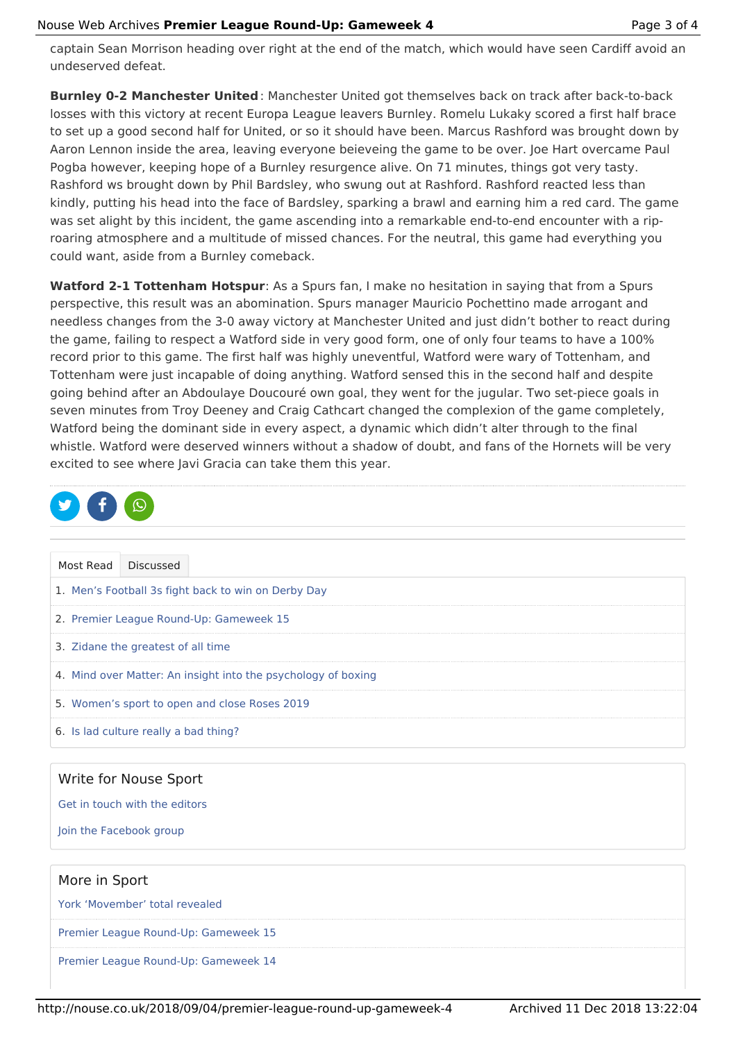captain Sean Morrison heading over right at the end of the match, which would have seen Cardiff avoid an undeserved defeat.

**Burnley 0-2 Manchester United** : Manchester United got themselves back on track after back-to-back losses with this victory at recent Europa League leavers Burnley. Romelu Lukaky scored a first half brace to set up a good second half for United, or so it should have been. Marcus Rashford was brought down by Aaron Lennon inside the area, leaving everyone beieveing the game to be over. Joe Hart overcame Paul Pogba however, keeping hope of a Burnley resurgence alive. On 71 minutes, things got very tasty. Rashford ws brought down by Phil Bardsley, who swung out at Rashford. Rashford reacted less than kindly, putting his head into the face of Bardsley, sparking a brawl and earning him a red card. The game was set alight by this incident, the game ascending into a remarkable end-to-end encounter with a riproaring atmosphere and a multitude of missed chances. For the neutral, this game had everything you could want, aside from a Burnley comeback.

**Watford 2-1 Tottenham Hotspur**: As a Spurs fan, I make no hesitation in saying that from a Spurs perspective, this result was an abomination. Spurs manager Mauricio Pochettino made arrogant and needless changes from the 3-0 away victory at Manchester United and just didn't bother to react during the game, failing to respect a Watford side in very good form, one of only four teams to have a 100% record prior to this game. The first half was highly uneventful, Watford were wary of Tottenham, and Tottenham were just incapable of doing anything. Watford sensed this in the second half and despite going behind after an Abdoulaye Doucouré own goal, they went for the jugular. Two set-piece goals in seven minutes from Troy Deeney and Craig Cathcart changed the complexion of the game completely, Watford being the dominant side in every aspect, a dynamic which didn't alter through to the final whistle. Watford were deserved winners without a shadow of doubt, and fans of the Hornets will be very excited to see where Javi Gracia can take them this year.

|  | <b>D</b> f0 |  |
|--|-------------|--|
|  |             |  |

| Most Read                                                     | <b>Discussed</b> |  |  |  |  |
|---------------------------------------------------------------|------------------|--|--|--|--|
| 1. Men's Football 3s fight back to win on Derby Day           |                  |  |  |  |  |
| 2. Premier League Round-Up: Gameweek 15                       |                  |  |  |  |  |
| 3. Zidane the greatest of all time                            |                  |  |  |  |  |
| 4. Mind over Matter: An insight into the psychology of boxing |                  |  |  |  |  |
| 5. Women's sport to open and close Roses 2019                 |                  |  |  |  |  |
| 6. Is lad culture really a bad thing?                         |                  |  |  |  |  |
|                                                               |                  |  |  |  |  |
| Write for Nouse Sport                                         |                  |  |  |  |  |

Get in touch with the editors

Join the Facebook group

## More in Sport

York 'Movember' total revealed

Premier League Round-Up: Gameweek 15

Premier League Round-Up: Gameweek 14